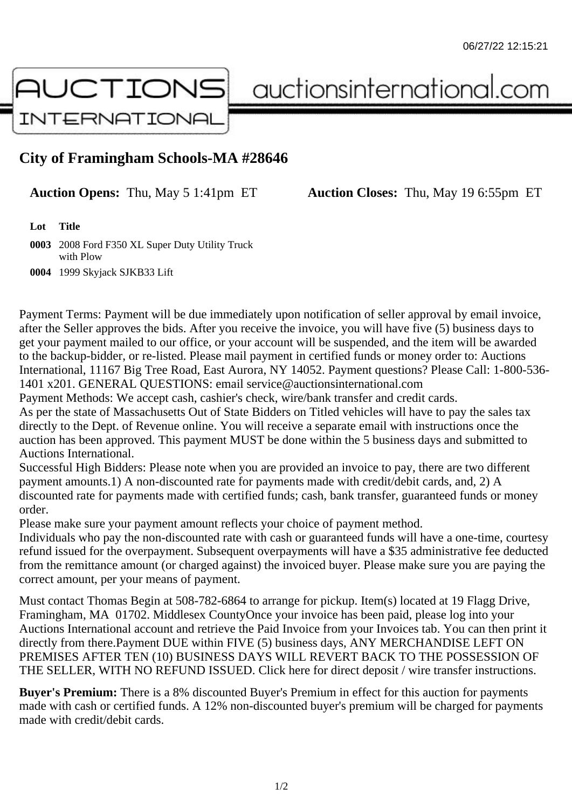

auctionsinternational.com

## **City of Framingham Schools-MA #28646**

**Auction Opens:** Thu, May 5 1:41pm ET **Auction Closes:** Thu, May 19 6:55pm ET

**Lot Title**

**0003** 2008 Ford F350 XL Super Duty Utility Truck with Plow

**0004** 1999 Skyjack SJKB33 Lift

Payment Terms: Payment will be due immediately upon notification of seller approval by email invoice, after the Seller approves the bids. After you receive the invoice, you will have five (5) business days to get your payment mailed to our office, or your account will be suspended, and the item will be awarded to the backup-bidder, or re-listed. Please mail payment in certified funds or money order to: Auctions International, 11167 Big Tree Road, East Aurora, NY 14052. Payment questions? Please Call: 1-800-536- 1401 x201. GENERAL QUESTIONS: email service@auctionsinternational.com

Payment Methods: We accept cash, cashier's check, wire/bank transfer and credit cards.

As per the state of Massachusetts Out of State Bidders on Titled vehicles will have to pay the sales tax directly to the Dept. of Revenue online. You will receive a separate email with instructions once the auction has been approved. This payment MUST be done within the 5 business days and submitted to Auctions International.

Successful High Bidders: Please note when you are provided an invoice to pay, there are two different payment amounts.1) A non-discounted rate for payments made with credit/debit cards, and, 2) A discounted rate for payments made with certified funds; cash, bank transfer, guaranteed funds or money order.

Please make sure your payment amount reflects your choice of payment method.

Individuals who pay the non-discounted rate with cash or guaranteed funds will have a one-time, courtesy refund issued for the overpayment. Subsequent overpayments will have a \$35 administrative fee deducted from the remittance amount (or charged against) the invoiced buyer. Please make sure you are paying the correct amount, per your means of payment.

Must contact Thomas Begin at 508-782-6864 to arrange for pickup. Item(s) located at 19 Flagg Drive, Framingham, MA 01702. Middlesex CountyOnce your invoice has been paid, please log into your Auctions International account and retrieve the Paid Invoice from your Invoices tab. You can then print it directly from there.Payment DUE within FIVE (5) business days, ANY MERCHANDISE LEFT ON PREMISES AFTER TEN (10) BUSINESS DAYS WILL REVERT BACK TO THE POSSESSION OF THE SELLER, WITH NO REFUND ISSUED. Click here for direct deposit / wire transfer instructions.

**Buyer's Premium:** There is a 8% discounted Buyer's Premium in effect for this auction for payments made with cash or certified funds. A 12% non-discounted buyer's premium will be charged for payments made with credit/debit cards.